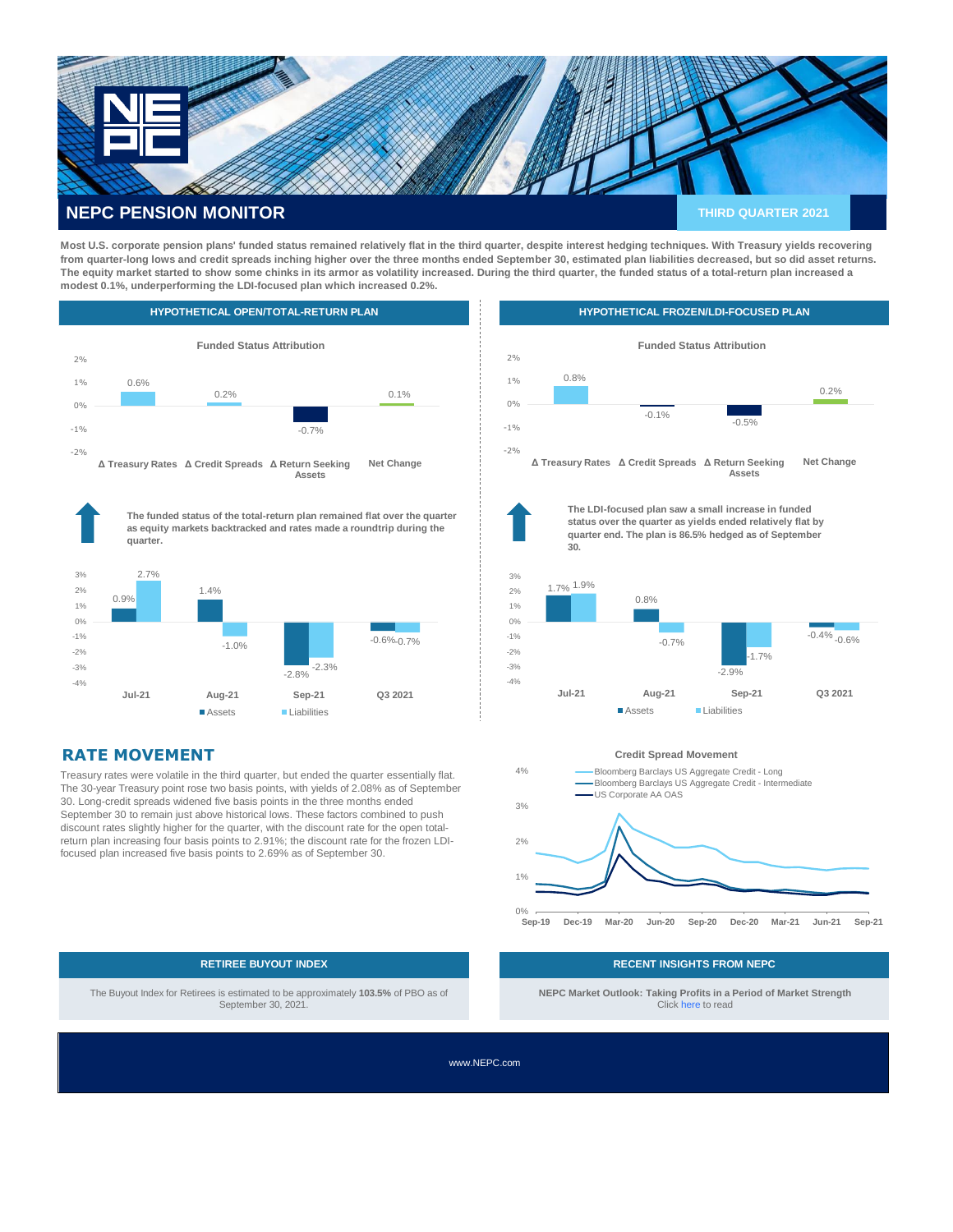

**Most U.S. corporate pension plans' funded status remained relatively flat in the third quarter, despite interest hedging techniques. With Treasury yields recovering from quarter-long lows and credit spreads inching higher over the three months ended September 30, estimated plan liabilities decreased, but so did asset returns. The equity market started to show some chinks in its armor as volatility increased. During the third quarter, the funded status of a total-return plan increased a modest 0.1%, underperforming the LDI-focused plan which increased 0.2%.** 



# **RATE MOVEMENT**

Treasury rates were volatile in the third quarter, but ended the quarter essentially flat. The 30-year Treasury point rose two basis points, with yields of 2.08% as of September 30. Long-credit spreads widened five basis points in the three months ended September 30 to remain just above historical lows. These factors combined to push discount rates slightly higher for the quarter, with the discount rate for the open totalreturn plan increasing four basis points to 2.91%; the discount rate for the frozen LDIfocused plan increased five basis points to 2.69% as of September 30.

Assets Liabilities





**The LDI-focused plan saw a small increase in funded status over the quarter as yields ended relatively flat by quarter end. The plan is 86.5% hedged as of September 30.**



**Credit Spread Movement**



 The Buyout Index for Retirees is estimated to be approximately **103.5%** of PBO as of September 30, 2021.

### **RETIREE BUYOUT INDEX RECENT INSIGHTS FROM NEPC**

**NEPC Market Outlook: Taking Profits in a Period of Market Strength** Click [here](https://nepc.com/institutional/market-outlook-taking-profits-market-strength/) to read